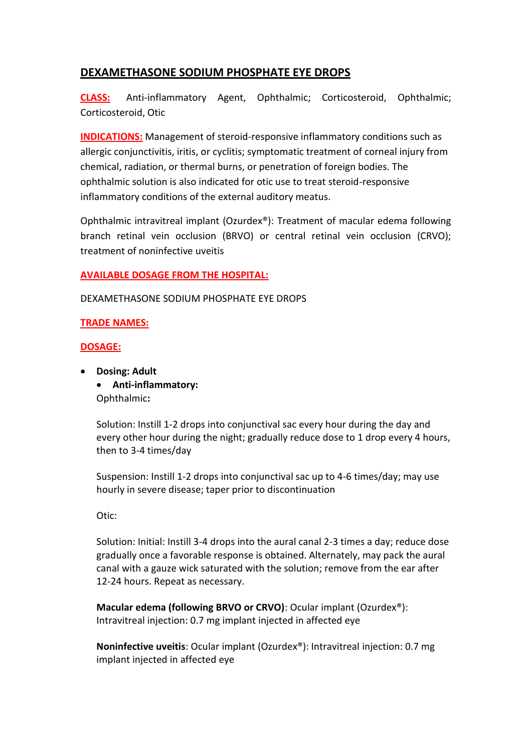## **DEXAMETHASONE SODIUM PHOSPHATE EYE DROPS**

**CLASS:** Anti-inflammatory Agent, Ophthalmic; Corticosteroid, Ophthalmic; Corticosteroid, Otic

**INDICATIONS:** Management of steroid-responsive inflammatory conditions such as allergic conjunctivitis, iritis, or cyclitis; symptomatic treatment of corneal injury from chemical, radiation, or thermal burns, or penetration of foreign bodies. The ophthalmic solution is also indicated for otic use to treat steroid-responsive inflammatory conditions of the external auditory meatus.

Ophthalmic intravitreal implant (Ozurdex®): Treatment of macular edema following branch retinal vein occlusion (BRVO) or central retinal vein occlusion (CRVO); treatment of noninfective uveitis

## **AVAILABLE DOSAGE FROM THE HOSPITAL:**

DEXAMETHASONE SODIUM PHOSPHATE EYE DROPS

## **TRADE NAMES:**

## **DOSAGE:**

 **Dosing: Adult Anti-inflammatory:** Ophthalmic**:**

> Solution: Instill 1-2 drops into conjunctival sac every hour during the day and every other hour during the night; gradually reduce dose to 1 drop every 4 hours, then to 3-4 times/day

Suspension: Instill 1-2 drops into conjunctival sac up to 4-6 times/day; may use hourly in severe disease; taper prior to discontinuation

Otic:

Solution: Initial: Instill 3-4 drops into the aural canal 2-3 times a day; reduce dose gradually once a favorable response is obtained. Alternately, may pack the aural canal with a gauze wick saturated with the solution; remove from the ear after 12-24 hours. Repeat as necessary.

**Macular edema (following BRVO or CRVO)**: Ocular implant (Ozurdex®): Intravitreal injection: 0.7 mg implant injected in affected eye

**Noninfective uveitis**: Ocular implant (Ozurdex®): Intravitreal injection: 0.7 mg implant injected in affected eye